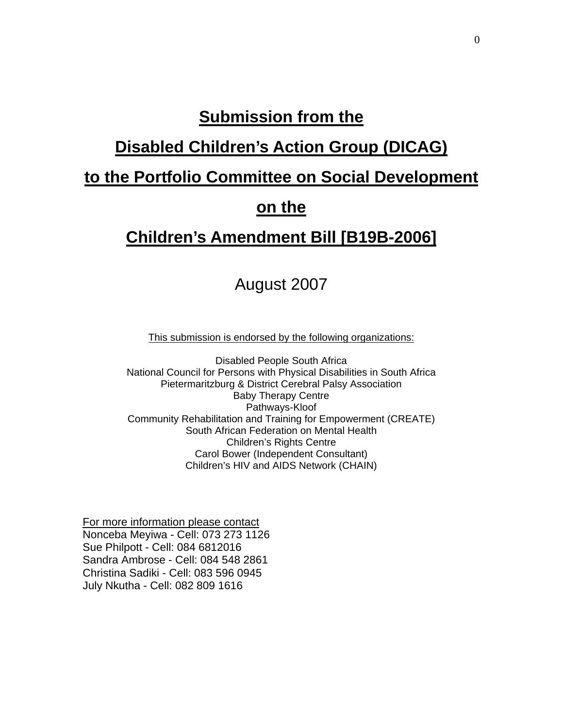# **Submission from the**

# **Disabled Children's Action Group (DICAG)**

# **to the Portfolio Committee on Social Development**

#### **on the**

## **Children's Amendment Bill [B19B-2006]**

## August 2007

This submission is endorsed by the following organizations:

Disabled People South Africa National Council for Persons with Physical Disabilities in South Africa Pietermaritzburg & District Cerebral Palsy Association Baby Therapy Centre Pathways-Kloof Community Rehabilitation and Training for Empowerment (CREATE) South African Federation on Mental Health Children's Rights Centre Carol Bower (Independent Consultant) Children's HIV and AIDS Network (CHAIN)

For more information please contact Nonceba Meyiwa - Cell: 073 273 1126 Sue Philpott - Cell: 084 6812016 Sandra Ambrose - Cell: 084 548 2861 Christina Sadiki - Cell: 083 596 0945 July Nkutha - Cell: 082 809 1616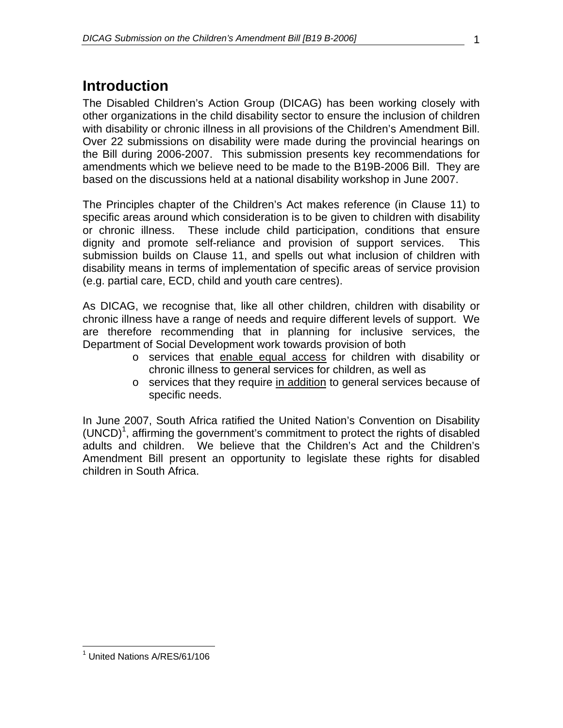# **Introduction**

The Disabled Children's Action Group (DICAG) has been working closely with other organizations in the child disability sector to ensure the inclusion of children with disability or chronic illness in all provisions of the Children's Amendment Bill. Over 22 submissions on disability were made during the provincial hearings on the Bill during 2006-2007. This submission presents key recommendations for amendments which we believe need to be made to the B19B-2006 Bill. They are based on the discussions held at a national disability workshop in June 2007.

The Principles chapter of the Children's Act makes reference (in Clause 11) to specific areas around which consideration is to be given to children with disability or chronic illness. These include child participation, conditions that ensure dignity and promote self-reliance and provision of support services. This submission builds on Clause 11, and spells out what inclusion of children with disability means in terms of implementation of specific areas of service provision (e.g. partial care, ECD, child and youth care centres).

As DICAG, we recognise that, like all other children, children with disability or chronic illness have a range of needs and require different levels of support. We are therefore recommending that in planning for inclusive services, the Department of Social Development work towards provision of both

- o services that enable equal access for children with disability or chronic illness to general services for children, as well as
- o services that they require in addition to general services because of specific needs.

In June 2007, South Africa ratified the United Nation's Convention on Disability  $(UNCD)<sup>1</sup>$ , affirming the government's commitment to protect the rights of disabled adults and children. We believe that the Children's Act and the Children's Amendment Bill present an opportunity to legislate these rights for disabled children in South Africa.

 $\overline{a}$ <sup>1</sup> United Nations A/RES/61/106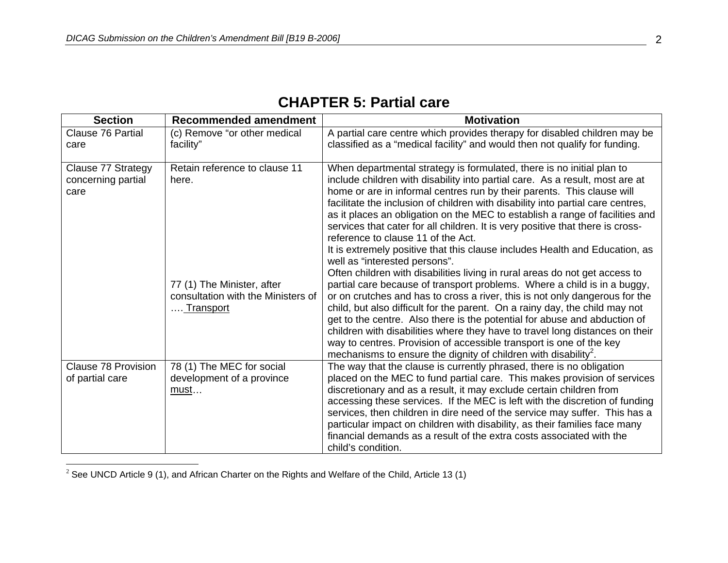#### **CHAPTER 5: Partial care**

| <b>Section</b>                                   | <b>Recommended amendment</b>                                                                                            | <b>Motivation</b>                                                                                                                                                                                                                                                                                                                                                                                                                                                                                                                                                                                                                                                                                                                                                                                                                                                                                                                                                                                                                                                                                                                                                                                                                                                                      |
|--------------------------------------------------|-------------------------------------------------------------------------------------------------------------------------|----------------------------------------------------------------------------------------------------------------------------------------------------------------------------------------------------------------------------------------------------------------------------------------------------------------------------------------------------------------------------------------------------------------------------------------------------------------------------------------------------------------------------------------------------------------------------------------------------------------------------------------------------------------------------------------------------------------------------------------------------------------------------------------------------------------------------------------------------------------------------------------------------------------------------------------------------------------------------------------------------------------------------------------------------------------------------------------------------------------------------------------------------------------------------------------------------------------------------------------------------------------------------------------|
| <b>Clause 76 Partial</b><br>care                 | (c) Remove "or other medical<br>facility"                                                                               | A partial care centre which provides therapy for disabled children may be<br>classified as a "medical facility" and would then not qualify for funding.                                                                                                                                                                                                                                                                                                                                                                                                                                                                                                                                                                                                                                                                                                                                                                                                                                                                                                                                                                                                                                                                                                                                |
| Clause 77 Strategy<br>concerning partial<br>care | Retain reference to clause 11<br>here.<br>77 (1) The Minister, after<br>consultation with the Ministers of<br>Transport | When departmental strategy is formulated, there is no initial plan to<br>include children with disability into partial care. As a result, most are at<br>home or are in informal centres run by their parents. This clause will<br>facilitate the inclusion of children with disability into partial care centres,<br>as it places an obligation on the MEC to establish a range of facilities and<br>services that cater for all children. It is very positive that there is cross-<br>reference to clause 11 of the Act.<br>It is extremely positive that this clause includes Health and Education, as<br>well as "interested persons".<br>Often children with disabilities living in rural areas do not get access to<br>partial care because of transport problems. Where a child is in a buggy,<br>or on crutches and has to cross a river, this is not only dangerous for the<br>child, but also difficult for the parent. On a rainy day, the child may not<br>get to the centre. Also there is the potential for abuse and abduction of<br>children with disabilities where they have to travel long distances on their<br>way to centres. Provision of accessible transport is one of the key<br>mechanisms to ensure the dignity of children with disability <sup>2</sup> . |
| <b>Clause 78 Provision</b><br>of partial care    | 78 (1) The MEC for social<br>development of a province<br><u>must</u>                                                   | The way that the clause is currently phrased, there is no obligation<br>placed on the MEC to fund partial care. This makes provision of services<br>discretionary and as a result, it may exclude certain children from<br>accessing these services. If the MEC is left with the discretion of funding<br>services, then children in dire need of the service may suffer. This has a<br>particular impact on children with disability, as their families face many<br>financial demands as a result of the extra costs associated with the<br>child's condition.                                                                                                                                                                                                                                                                                                                                                                                                                                                                                                                                                                                                                                                                                                                       |

 $^2$  See UNCD Article 9 (1), and African Charter on the Rights and Welfare of the Child, Article 13 (1)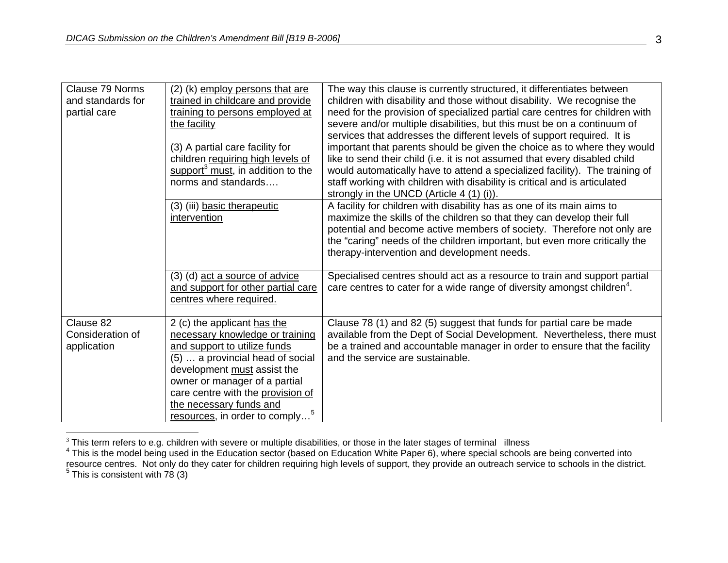| Clause 79 Norms<br>and standards for<br>partial care | (2) (k) employ persons that are<br>trained in childcare and provide<br>training to persons employed at<br>the facility<br>(3) A partial care facility for<br>children requiring high levels of                                                                                                                   | The way this clause is currently structured, it differentiates between<br>children with disability and those without disability. We recognise the<br>need for the provision of specialized partial care centres for children with<br>severe and/or multiple disabilities, but this must be on a continuum of<br>services that addresses the different levels of support required. It is<br>important that parents should be given the choice as to where they would<br>like to send their child (i.e. it is not assumed that every disabled child |
|------------------------------------------------------|------------------------------------------------------------------------------------------------------------------------------------------------------------------------------------------------------------------------------------------------------------------------------------------------------------------|---------------------------------------------------------------------------------------------------------------------------------------------------------------------------------------------------------------------------------------------------------------------------------------------------------------------------------------------------------------------------------------------------------------------------------------------------------------------------------------------------------------------------------------------------|
|                                                      | support $3$ must, in addition to the<br>norms and standards                                                                                                                                                                                                                                                      | would automatically have to attend a specialized facility). The training of<br>staff working with children with disability is critical and is articulated<br>strongly in the UNCD (Article 4 (1) (i)).                                                                                                                                                                                                                                                                                                                                            |
|                                                      | (3) (iii) basic therapeutic<br>intervention                                                                                                                                                                                                                                                                      | A facility for children with disability has as one of its main aims to<br>maximize the skills of the children so that they can develop their full<br>potential and become active members of society. Therefore not only are<br>the "caring" needs of the children important, but even more critically the<br>therapy-intervention and development needs.                                                                                                                                                                                          |
|                                                      | (3) (d) act a source of advice<br>and support for other partial care<br>centres where required.                                                                                                                                                                                                                  | Specialised centres should act as a resource to train and support partial<br>care centres to cater for a wide range of diversity amongst children <sup>4</sup> .                                                                                                                                                                                                                                                                                                                                                                                  |
| Clause 82<br>Consideration of<br>application         | 2 (c) the applicant has the<br>necessary knowledge or training<br>and support to utilize funds<br>(5)  a provincial head of social<br>development must assist the<br>owner or manager of a partial<br>care centre with the provision of<br>the necessary funds and<br>resources, in order to comply <sup>5</sup> | Clause 78 (1) and 82 (5) suggest that funds for partial care be made<br>available from the Dept of Social Development. Nevertheless, there must<br>be a trained and accountable manager in order to ensure that the facility<br>and the service are sustainable.                                                                                                                                                                                                                                                                                  |

<sup>&</sup>lt;sup>3</sup> This term refers to e.g. children with severe or multiple disabilities, or those in the later stages of terminal \_illness<br><sup>4</sup> This is the model being used in the Education sector (based on Education White Paper 6), whe resource centres. Not only do they cater for children requiring high levels of support, they provide an outreach service to schools in the district.<br><sup>5</sup> This is consistent with 78 (3)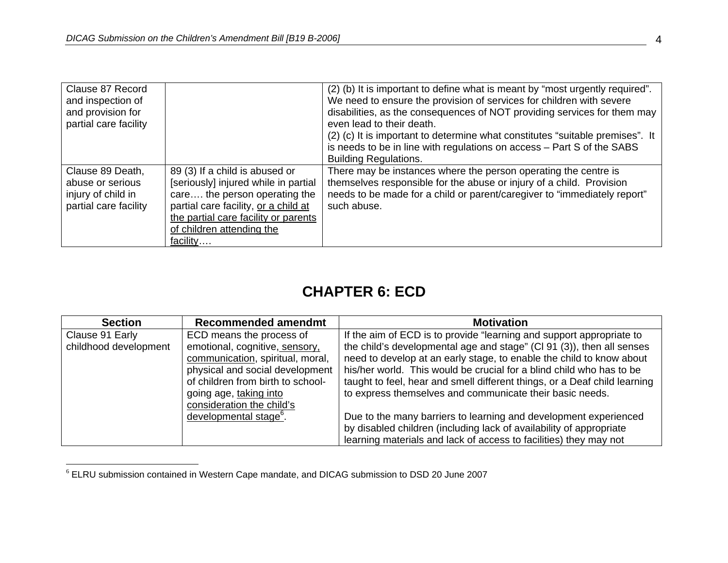| Clause 87 Record      |                                      | (2) (b) It is important to define what is meant by "most urgently required".  |
|-----------------------|--------------------------------------|-------------------------------------------------------------------------------|
| and inspection of     |                                      | We need to ensure the provision of services for children with severe          |
| and provision for     |                                      | disabilities, as the consequences of NOT providing services for them may      |
| partial care facility |                                      | even lead to their death.                                                     |
|                       |                                      | (2) (c) It is important to determine what constitutes "suitable premises". It |
|                       |                                      | is needs to be in line with regulations on access - Part S of the SABS        |
|                       |                                      | <b>Building Regulations.</b>                                                  |
| Clause 89 Death,      | 89 (3) If a child is abused or       | There may be instances where the person operating the centre is               |
| abuse or serious      | [seriously] injured while in partial | themselves responsible for the abuse or injury of a child. Provision          |
| injury of child in    | care the person operating the        | needs to be made for a child or parent/caregiver to "immediately report"      |
| partial care facility | partial care facility, or a child at | such abuse.                                                                   |
|                       | the partial care facility or parents |                                                                               |
|                       | of children attending the            |                                                                               |
|                       | facility                             |                                                                               |

## **CHAPTER 6: ECD**

| <b>Section</b>        | <b>Recommended amendmt</b>         | <b>Motivation</b>                                                         |
|-----------------------|------------------------------------|---------------------------------------------------------------------------|
| Clause 91 Early       | ECD means the process of           | If the aim of ECD is to provide "learning and support appropriate to      |
| childhood development | emotional, cognitive, sensory,     | the child's developmental age and stage" (CI 91 (3)), then all senses     |
|                       | communication, spiritual, moral,   | need to develop at an early stage, to enable the child to know about      |
|                       | physical and social development    | his/her world. This would be crucial for a blind child who has to be      |
|                       | of children from birth to school-  | taught to feel, hear and smell different things, or a Deaf child learning |
|                       | going age, taking into             | to express themselves and communicate their basic needs.                  |
|                       | consideration the child's          |                                                                           |
|                       | developmental stage <sup>6</sup> . | Due to the many barriers to learning and development experienced          |
|                       |                                    | by disabled children (including lack of availability of appropriate       |
|                       |                                    | learning materials and lack of access to facilities) they may not         |

 $^6$  ELRU submission contained in Western Cape mandate, and DICAG submission to DSD 20 June 2007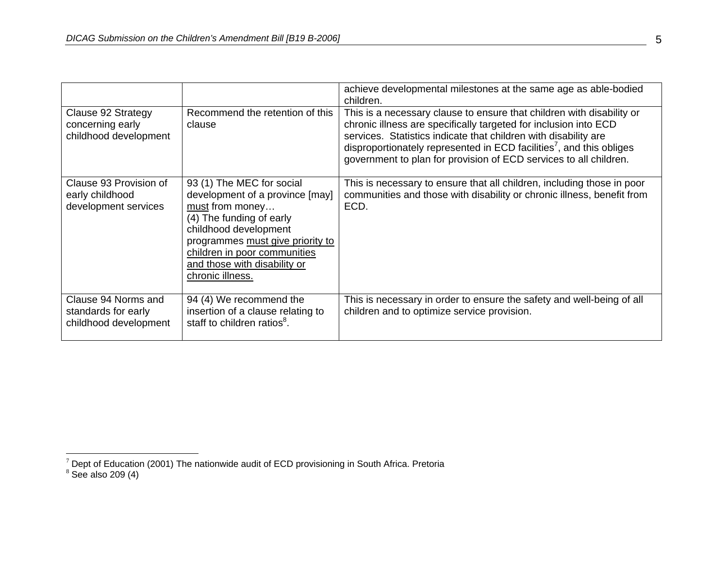|                                                                     |                                                                                                                                                                                                                                                              | achieve developmental milestones at the same age as able-bodied<br>children.                                                                                                                                                                                                                                                                                          |
|---------------------------------------------------------------------|--------------------------------------------------------------------------------------------------------------------------------------------------------------------------------------------------------------------------------------------------------------|-----------------------------------------------------------------------------------------------------------------------------------------------------------------------------------------------------------------------------------------------------------------------------------------------------------------------------------------------------------------------|
| Clause 92 Strategy<br>concerning early<br>childhood development     | Recommend the retention of this<br>clause                                                                                                                                                                                                                    | This is a necessary clause to ensure that children with disability or<br>chronic illness are specifically targeted for inclusion into ECD<br>services. Statistics indicate that children with disability are<br>disproportionately represented in ECD facilities <sup>7</sup> , and this obliges<br>government to plan for provision of ECD services to all children. |
| Clause 93 Provision of<br>early childhood<br>development services   | 93 (1) The MEC for social<br>development of a province [may]<br>must from money<br>(4) The funding of early<br>childhood development<br>programmes must give priority to<br>children in poor communities<br>and those with disability or<br>chronic illness. | This is necessary to ensure that all children, including those in poor<br>communities and those with disability or chronic illness, benefit from<br>ECD.                                                                                                                                                                                                              |
| Clause 94 Norms and<br>standards for early<br>childhood development | 94 (4) We recommend the<br>insertion of a clause relating to<br>staff to children ratios <sup>8</sup> .                                                                                                                                                      | This is necessary in order to ensure the safety and well-being of all<br>children and to optimize service provision.                                                                                                                                                                                                                                                  |

 $^7$  Dept of Education (2001) The nationwide audit of ECD provisioning in South Africa. Pretoria<br> $^8$  See also 209 (4)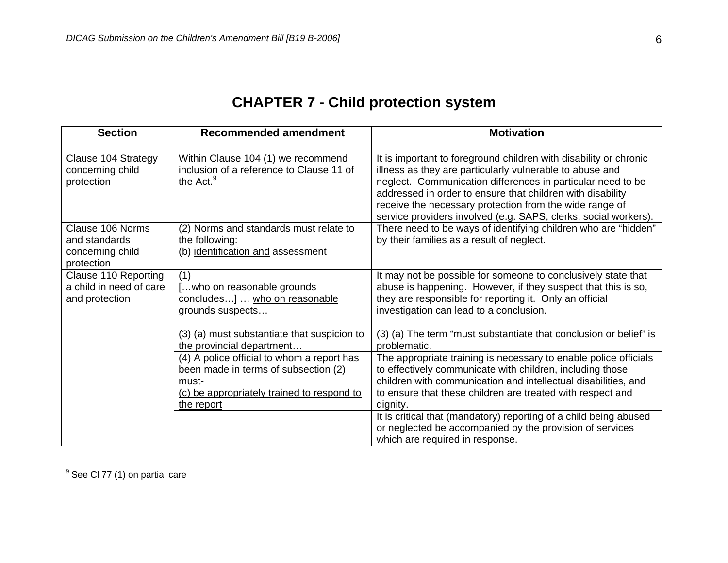# **CHAPTER 7 - Child protection system**

| <b>Section</b>                                                      | <b>Recommended amendment</b>                                                                                                                            | <b>Motivation</b>                                                                                                                                                                                                                                                                                                                                                                        |
|---------------------------------------------------------------------|---------------------------------------------------------------------------------------------------------------------------------------------------------|------------------------------------------------------------------------------------------------------------------------------------------------------------------------------------------------------------------------------------------------------------------------------------------------------------------------------------------------------------------------------------------|
| Clause 104 Strategy<br>concerning child<br>protection               | Within Clause 104 (1) we recommend<br>inclusion of a reference to Clause 11 of<br>the Act. <sup>9</sup>                                                 | It is important to foreground children with disability or chronic<br>illness as they are particularly vulnerable to abuse and<br>neglect. Communication differences in particular need to be<br>addressed in order to ensure that children with disability<br>receive the necessary protection from the wide range of<br>service providers involved (e.g. SAPS, clerks, social workers). |
| Clause 106 Norms<br>and standards<br>concerning child<br>protection | (2) Norms and standards must relate to<br>the following:<br>(b) identification and assessment                                                           | There need to be ways of identifying children who are "hidden"<br>by their families as a result of neglect.                                                                                                                                                                                                                                                                              |
| Clause 110 Reporting<br>a child in need of care<br>and protection   | (1)<br>[who on reasonable grounds<br>concludes]  who on reasonable<br>grounds suspects                                                                  | It may not be possible for someone to conclusively state that<br>abuse is happening. However, if they suspect that this is so,<br>they are responsible for reporting it. Only an official<br>investigation can lead to a conclusion.                                                                                                                                                     |
|                                                                     | (3) (a) must substantiate that suspicion to<br>the provincial department                                                                                | (3) (a) The term "must substantiate that conclusion or belief" is<br>problematic.                                                                                                                                                                                                                                                                                                        |
|                                                                     | (4) A police official to whom a report has<br>been made in terms of subsection (2)<br>must-<br>(c) be appropriately trained to respond to<br>the report | The appropriate training is necessary to enable police officials<br>to effectively communicate with children, including those<br>children with communication and intellectual disabilities, and<br>to ensure that these children are treated with respect and<br>dignity.                                                                                                                |
|                                                                     |                                                                                                                                                         | It is critical that (mandatory) reporting of a child being abused<br>or neglected be accompanied by the provision of services<br>which are required in response.                                                                                                                                                                                                                         |

 $^9$  See Cl 77 (1) on partial care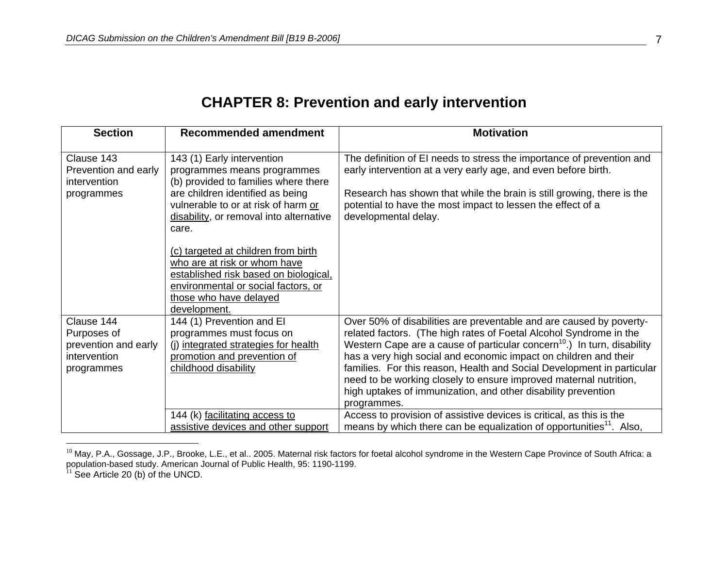| <b>Section</b>                                                                  | <b>Recommended amendment</b>                                                                                                                                                                                                                                                                                                                                                                                                      | <b>Motivation</b>                                                                                                                                                                                                                                                                                                                                                                                                                                                                                                                   |
|---------------------------------------------------------------------------------|-----------------------------------------------------------------------------------------------------------------------------------------------------------------------------------------------------------------------------------------------------------------------------------------------------------------------------------------------------------------------------------------------------------------------------------|-------------------------------------------------------------------------------------------------------------------------------------------------------------------------------------------------------------------------------------------------------------------------------------------------------------------------------------------------------------------------------------------------------------------------------------------------------------------------------------------------------------------------------------|
| Clause 143<br>Prevention and early<br>intervention<br>programmes                | 143 (1) Early intervention<br>programmes means programmes<br>(b) provided to families where there<br>are children identified as being<br>vulnerable to or at risk of harm or<br>disability, or removal into alternative<br>care.<br>(c) targeted at children from birth<br>who are at risk or whom have<br>established risk based on biological,<br>environmental or social factors, or<br>those who have delayed<br>development. | The definition of EI needs to stress the importance of prevention and<br>early intervention at a very early age, and even before birth.<br>Research has shown that while the brain is still growing, there is the<br>potential to have the most impact to lessen the effect of a<br>developmental delay.                                                                                                                                                                                                                            |
| Clause 144<br>Purposes of<br>prevention and early<br>intervention<br>programmes | 144 (1) Prevention and El<br>programmes must focus on<br>(j) integrated strategies for health<br>promotion and prevention of<br>childhood disability                                                                                                                                                                                                                                                                              | Over 50% of disabilities are preventable and are caused by poverty-<br>related factors. (The high rates of Foetal Alcohol Syndrome in the<br>Western Cape are a cause of particular concern <sup>10</sup> .) In turn, disability<br>has a very high social and economic impact on children and their<br>families. For this reason, Health and Social Development in particular<br>need to be working closely to ensure improved maternal nutrition,<br>high uptakes of immunization, and other disability prevention<br>programmes. |
|                                                                                 | 144 (k) facilitating access to<br>assistive devices and other support                                                                                                                                                                                                                                                                                                                                                             | Access to provision of assistive devices is critical, as this is the<br>means by which there can be equalization of opportunities <sup>11</sup> . Also,                                                                                                                                                                                                                                                                                                                                                                             |

## **CHAPTER 8: Prevention and early intervention**

 $^{10}$  May, P.A., Gossage, J.P., Brooke, L.E., et al.. 2005. Maternal risk factors for foetal alcohol syndrome in the Western Cape Province of South Africa: a population-based study. American Journal of Public Health, 95: 1190-1199. 11 See Article 20 (b) of the UNCD.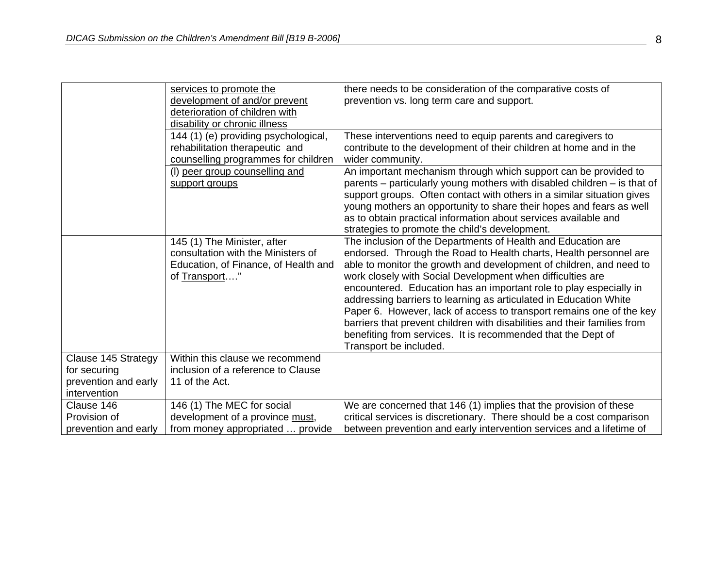|                      | services to promote the                                       | there needs to be consideration of the comparative costs of                                                                                |
|----------------------|---------------------------------------------------------------|--------------------------------------------------------------------------------------------------------------------------------------------|
|                      | development of and/or prevent                                 | prevention vs. long term care and support.                                                                                                 |
|                      |                                                               |                                                                                                                                            |
|                      | deterioration of children with                                |                                                                                                                                            |
|                      | disability or chronic illness                                 |                                                                                                                                            |
|                      | 144 (1) (e) providing psychological,                          | These interventions need to equip parents and caregivers to                                                                                |
|                      | rehabilitation therapeutic and                                | contribute to the development of their children at home and in the                                                                         |
|                      | counselling programmes for children                           | wider community.                                                                                                                           |
|                      | (I) peer group counselling and                                | An important mechanism through which support can be provided to                                                                            |
|                      | support groups                                                | parents – particularly young mothers with disabled children – is that of                                                                   |
|                      |                                                               | support groups. Often contact with others in a similar situation gives                                                                     |
|                      |                                                               | young mothers an opportunity to share their hopes and fears as well                                                                        |
|                      |                                                               | as to obtain practical information about services available and                                                                            |
|                      |                                                               | strategies to promote the child's development.                                                                                             |
|                      | 145 (1) The Minister, after                                   | The inclusion of the Departments of Health and Education are                                                                               |
|                      | consultation with the Ministers of                            | endorsed. Through the Road to Health charts, Health personnel are                                                                          |
|                      | Education, of Finance, of Health and                          | able to monitor the growth and development of children, and need to                                                                        |
|                      | of Transport"                                                 | work closely with Social Development when difficulties are                                                                                 |
|                      |                                                               |                                                                                                                                            |
|                      |                                                               | encountered. Education has an important role to play especially in                                                                         |
|                      |                                                               | addressing barriers to learning as articulated in Education White                                                                          |
|                      |                                                               | Paper 6. However, lack of access to transport remains one of the key                                                                       |
|                      |                                                               | barriers that prevent children with disabilities and their families from                                                                   |
|                      |                                                               | benefiting from services. It is recommended that the Dept of                                                                               |
|                      |                                                               | Transport be included.                                                                                                                     |
| Clause 145 Strategy  | Within this clause we recommend                               |                                                                                                                                            |
| for securing         | inclusion of a reference to Clause                            |                                                                                                                                            |
| prevention and early | 11 of the Act.                                                |                                                                                                                                            |
| intervention         |                                                               |                                                                                                                                            |
| Clause 146           |                                                               |                                                                                                                                            |
|                      |                                                               |                                                                                                                                            |
| Provision of         | 146 (1) The MEC for social<br>development of a province must, | We are concerned that 146 (1) implies that the provision of these<br>critical services is discretionary. There should be a cost comparison |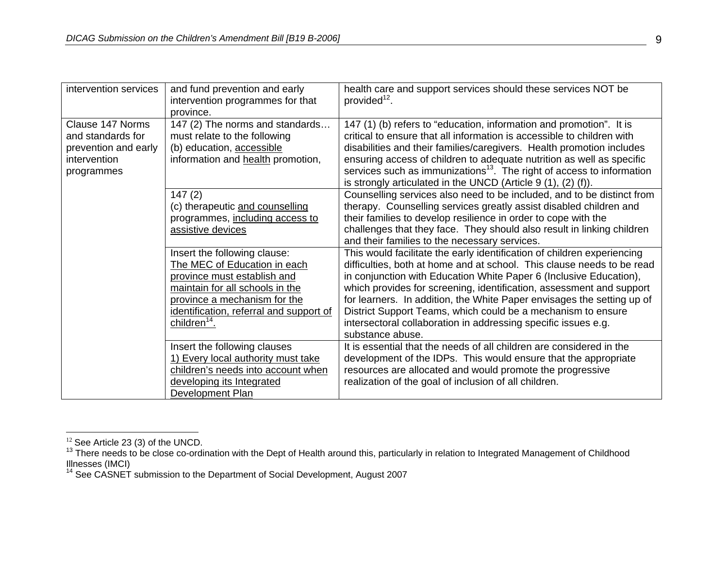| intervention services | and fund prevention and early<br>intervention programmes for that | health care and support services should these services NOT be<br>provided <sup>12</sup> . |
|-----------------------|-------------------------------------------------------------------|-------------------------------------------------------------------------------------------|
|                       | province.                                                         |                                                                                           |
| Clause 147 Norms      | 147 (2) The norms and standards                                   | 147 (1) (b) refers to "education, information and promotion". It is                       |
| and standards for     | must relate to the following                                      | critical to ensure that all information is accessible to children with                    |
| prevention and early  | (b) education, accessible                                         | disabilities and their families/caregivers. Health promotion includes                     |
| intervention          | information and health promotion,                                 | ensuring access of children to adequate nutrition as well as specific                     |
| programmes            |                                                                   | services such as immunizations <sup>13</sup> . The right of access to information         |
|                       |                                                                   | is strongly articulated in the UNCD (Article $9(1)$ , $(2)$ (f)).                         |
|                       | 147(2)                                                            | Counselling services also need to be included, and to be distinct from                    |
|                       | (c) therapeutic and counselling                                   | therapy. Counselling services greatly assist disabled children and                        |
|                       | programmes, including access to                                   | their families to develop resilience in order to cope with the                            |
|                       | assistive devices                                                 | challenges that they face. They should also result in linking children                    |
|                       |                                                                   | and their families to the necessary services.                                             |
|                       | Insert the following clause:                                      | This would facilitate the early identification of children experiencing                   |
|                       | The MEC of Education in each                                      | difficulties, both at home and at school. This clause needs to be read                    |
|                       | province must establish and                                       | in conjunction with Education White Paper 6 (Inclusive Education),                        |
|                       | maintain for all schools in the                                   | which provides for screening, identification, assessment and support                      |
|                       | province a mechanism for the                                      | for learners. In addition, the White Paper envisages the setting up of                    |
|                       | identification, referral and support of                           | District Support Teams, which could be a mechanism to ensure                              |
|                       | children <sup>14</sup> .                                          | intersectoral collaboration in addressing specific issues e.g.                            |
|                       |                                                                   | substance abuse.                                                                          |
|                       | Insert the following clauses                                      | It is essential that the needs of all children are considered in the                      |
|                       | 1) Every local authority must take                                | development of the IDPs. This would ensure that the appropriate                           |
|                       | children's needs into account when                                | resources are allocated and would promote the progressive                                 |
|                       | developing its Integrated                                         | realization of the goal of inclusion of all children.                                     |
|                       | Development Plan                                                  |                                                                                           |

 $^{12}$  See Article 23 (3) of the UNCD.<br><sup>13</sup> There needs to be close co-ordination with the Dept of Health around this, particularly in relation to Integrated Management of Childhood Illnesses (IMCI)<br><sup>14</sup> See CASNET submission to the Department of Social Development, August 2007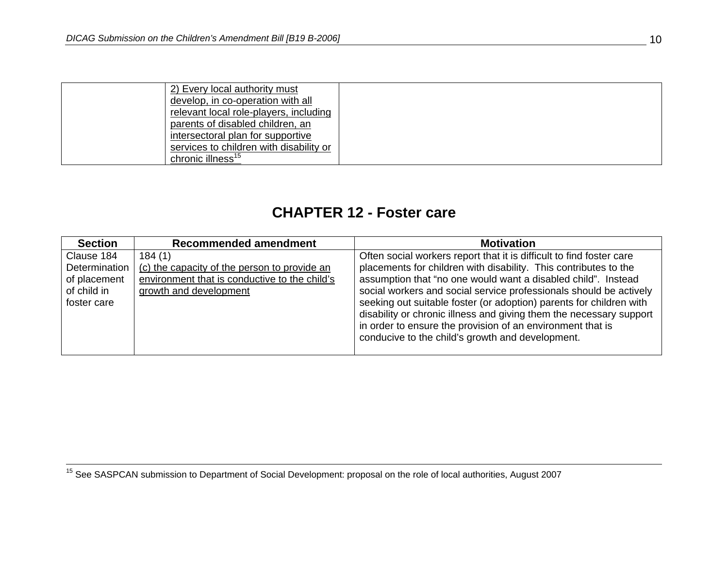| 2) Every local authority must           |  |
|-----------------------------------------|--|
| develop, in co-operation with all       |  |
| relevant local role-players, including  |  |
| parents of disabled children, an        |  |
| intersectoral plan for supportive       |  |
| services to children with disability or |  |
| chronic illness <sup>15</sup>           |  |

#### **CHAPTER 12 - Foster care**

| <b>Section</b> | <b>Recommended amendment</b>                  | <b>Motivation</b>                                                    |
|----------------|-----------------------------------------------|----------------------------------------------------------------------|
| Clause 184     | 184(1)                                        | Often social workers report that it is difficult to find foster care |
| Determination  | (c) the capacity of the person to provide an  | placements for children with disability. This contributes to the     |
| of placement   | environment that is conductive to the child's | assumption that "no one would want a disabled child". Instead        |
| of child in    | growth and development                        | social workers and social service professionals should be actively   |
| foster care    |                                               | seeking out suitable foster (or adoption) parents for children with  |
|                |                                               | disability or chronic illness and giving them the necessary support  |
|                |                                               | in order to ensure the provision of an environment that is           |
|                |                                               | conducive to the child's growth and development.                     |
|                |                                               |                                                                      |

<sup>15</sup> See SASPCAN submission to Department of Social Development: proposal on the role of local authorities, August 2007